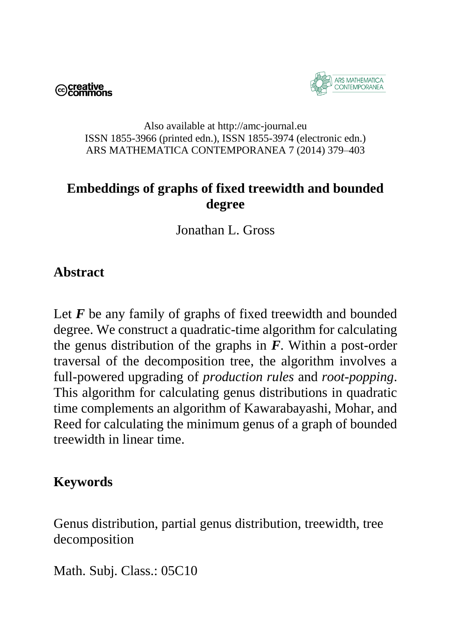©creative<br>○ Commons



#### Also available at http://amc-journal.eu ISSN 1855-3966 (printed edn.), ISSN 1855-3974 (electronic edn.) ARS MATHEMATICA CONTEMPORANEA 7 (2014) 379–403

# **Embeddings of graphs of fixed treewidth and bounded degree**

Jonathan L. Gross

### **Abstract**

Let *F* be any family of graphs of fixed treewidth and bounded degree. We construct a quadratic-time algorithm for calculating the genus distribution of the graphs in *F*. Within a post-order traversal of the decomposition tree, the algorithm involves a full-powered upgrading of *production rules* and *root-popping*. This algorithm for calculating genus distributions in quadratic time complements an algorithm of Kawarabayashi, Mohar, and Reed for calculating the minimum genus of a graph of bounded treewidth in linear time.

### **Keywords**

Genus distribution, partial genus distribution, treewidth, tree decomposition

Math. Subj. Class.: 05C10